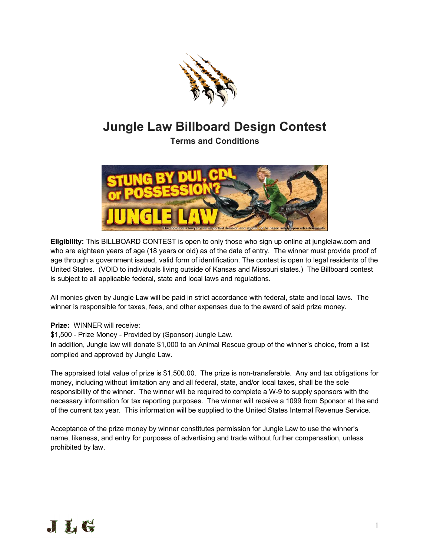

## **Jungle Law Billboard Design Contest**

**Terms and Conditions**



**Eligibility:** This BILLBOARD CONTEST is open to only those who sign up online at junglelaw.com and who are eighteen years of age (18 years or old) as of the date of entry. The winner must provide proof of age through a government issued, valid form of identification. The contest is open to legal residents of the United States. (VOID to individuals living outside of Kansas and Missouri states.) The Billboard contest is subject to all applicable federal, state and local laws and regulations.

All monies given by Jungle Law will be paid in strict accordance with federal, state and local laws. The winner is responsible for taxes, fees, and other expenses due to the award of said prize money.

## **Prize:** WINNER will receive:

\$1,500 - Prize Money - Provided by (Sponsor) Jungle Law.

In addition, Jungle law will donate \$1,000 to an Animal Rescue group of the winner's choice, from a list compiled and approved by Jungle Law.

The appraised total value of prize is \$1,500.00. The prize is non-transferable. Any and tax obligations for money, including without limitation any and all federal, state, and/or local taxes, shall be the sole responsibility of the winner. The winner will be required to complete a W-9 to supply sponsors with the necessary information for tax reporting purposes. The winner will receive a 1099 from Sponsor at the end of the current tax year. This information will be supplied to the United States Internal Revenue Service.

Acceptance of the prize money by winner constitutes permission for Jungle Law to use the winner's name, likeness, and entry for purposes of advertising and trade without further compensation, unless prohibited by law.

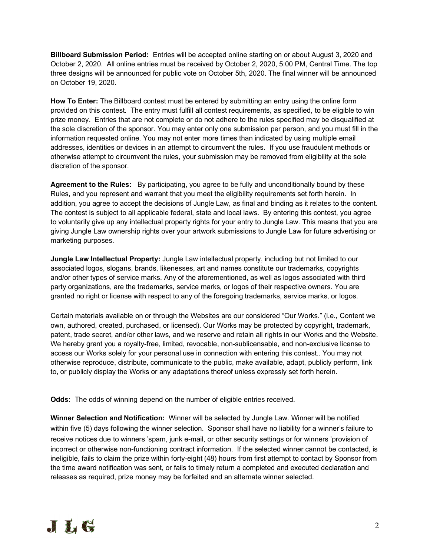**Billboard Submission Period:** Entries will be accepted online starting on or about August 3, 2020 and October 2, 2020. All online entries must be received by October 2, 2020, 5:00 PM, Central Time. The top three designs will be announced for public vote on October 5th, 2020. The final winner will be announced on October 19, 2020.

**How To Enter:** The Billboard contest must be entered by submitting an entry using the online form provided on this contest. The entry must fulfill all contest requirements, as specified, to be eligible to win prize money. Entries that are not complete or do not adhere to the rules specified may be disqualified at the sole discretion of the sponsor. You may enter only one submission per person, and you must fill in the information requested online. You may not enter more times than indicated by using multiple email addresses, identities or devices in an attempt to circumvent the rules. If you use fraudulent methods or otherwise attempt to circumvent the rules, your submission may be removed from eligibility at the sole discretion of the sponsor.

**Agreement to the Rules:** By participating, you agree to be fully and unconditionally bound by these Rules, and you represent and warrant that you meet the eligibility requirements set forth herein. In addition, you agree to accept the decisions of Jungle Law, as final and binding as it relates to the content. The contest is subject to all applicable federal, state and local laws. By entering this contest, you agree to voluntarily give up any intellectual property rights for your entry to Jungle Law. This means that you are giving Jungle Law ownership rights over your artwork submissions to Jungle Law for future advertising or marketing purposes.

**Jungle Law Intellectual Property:** Jungle Law intellectual property, including but not limited to our associated logos, slogans, brands, likenesses, art and names constitute our trademarks, copyrights and/or other types of service marks. Any of the aforementioned, as well as logos associated with third party organizations, are the trademarks, service marks, or logos of their respective owners. You are granted no right or license with respect to any of the foregoing trademarks, service marks, or logos.

Certain materials available on or through the Websites are our considered "Our Works." (i.e., Content we own, authored, created, purchased, or licensed). Our Works may be protected by copyright, trademark, patent, trade secret, and/or other laws, and we reserve and retain all rights in our Works and the Website. We hereby grant you a royalty-free, limited, revocable, non-sublicensable, and non-exclusive license to access our Works solely for your personal use in connection with entering this contest.. You may not otherwise reproduce, distribute, communicate to the public, make available, adapt, publicly perform, link to, or publicly display the Works or any adaptations thereof unless expressly set forth herein.

**Odds:** The odds of winning depend on the number of eligible entries received.

**Winner Selection and Notification:** Winner will be selected by Jungle Law. Winner will be notified within five (5) days following the winner selection. Sponsor shall have no liability for a winner's failure to receive notices due to winners 'spam, junk e-mail, or other security settings or for winners 'provision of incorrect or otherwise non-functioning contract information. If the selected winner cannot be contacted, is ineligible, fails to claim the prize within forty-eight (48) hours from first attempt to contact by Sponsor from the time award notification was sent, or fails to timely return a completed and executed declaration and releases as required, prize money may be forfeited and an alternate winner selected.

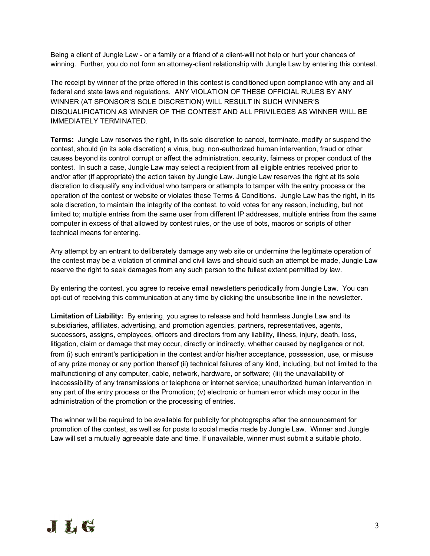Being a client of Jungle Law - or a family or a friend of a client-will not help or hurt your chances of winning. Further, you do not form an attorney-client relationship with Jungle Law by entering this contest.

The receipt by winner of the prize offered in this contest is conditioned upon compliance with any and all federal and state laws and regulations. ANY VIOLATION OF THESE OFFICIAL RULES BY ANY WINNER (AT SPONSOR'S SOLE DISCRETION) WILL RESULT IN SUCH WINNER'S DISQUALIFICATION AS WINNER OF THE CONTEST AND ALL PRIVILEGES AS WINNER WILL BE IMMEDIATELY TERMINATED.

**Terms:** Jungle Law reserves the right, in its sole discretion to cancel, terminate, modify or suspend the contest, should (in its sole discretion) a virus, bug, non-authorized human intervention, fraud or other causes beyond its control corrupt or affect the administration, security, fairness or proper conduct of the contest. In such a case, Jungle Law may select a recipient from all eligible entries received prior to and/or after (if appropriate) the action taken by Jungle Law. Jungle Law reserves the right at its sole discretion to disqualify any individual who tampers or attempts to tamper with the entry process or the operation of the contest or website or violates these Terms & Conditions. Jungle Law has the right, in its sole discretion, to maintain the integrity of the contest, to void votes for any reason, including, but not limited to; multiple entries from the same user from different IP addresses, multiple entries from the same computer in excess of that allowed by contest rules, or the use of bots, macros or scripts of other technical means for entering.

Any attempt by an entrant to deliberately damage any web site or undermine the legitimate operation of the contest may be a violation of criminal and civil laws and should such an attempt be made, Jungle Law reserve the right to seek damages from any such person to the fullest extent permitted by law.

By entering the contest, you agree to receive email newsletters periodically from Jungle Law. You can opt-out of receiving this communication at any time by clicking the unsubscribe line in the newsletter.

**Limitation of Liability:** By entering, you agree to release and hold harmless Jungle Law and its subsidiaries, affiliates, advertising, and promotion agencies, partners, representatives, agents, successors, assigns, employees, officers and directors from any liability, illness, injury, death, loss, litigation, claim or damage that may occur, directly or indirectly, whether caused by negligence or not, from (i) such entrant's participation in the contest and/or his/her acceptance, possession, use, or misuse of any prize money or any portion thereof (ii) technical failures of any kind, including, but not limited to the malfunctioning of any computer, cable, network, hardware, or software; (iii) the unavailability of inaccessibility of any transmissions or telephone or internet service; unauthorized human intervention in any part of the entry process or the Promotion; (v) electronic or human error which may occur in the administration of the promotion or the processing of entries.

The winner will be required to be available for publicity for photographs after the announcement for promotion of the contest, as well as for posts to social media made by Jungle Law. Winner and Jungle Law will set a mutually agreeable date and time. If unavailable, winner must submit a suitable photo.